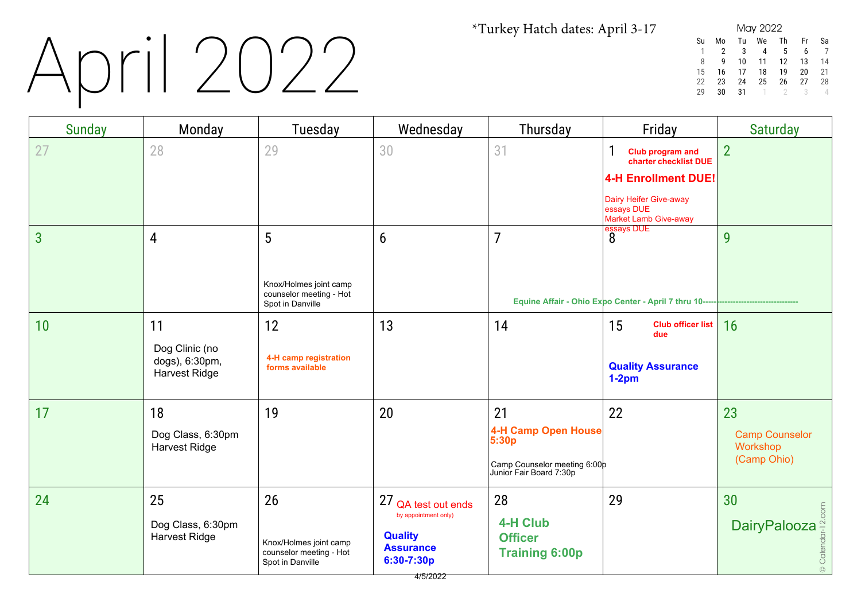# April 2022

| May 2022 |    |    |    |    |    |    |  |  |
|----------|----|----|----|----|----|----|--|--|
| Su       | Mo | Tu | We | Th | Fr | Sa |  |  |
|          | 2  | 3  | 4  | 5  | 6  |    |  |  |
| 8        | q  | 10 | 11 | 12 | 13 | 14 |  |  |
| 15       | 16 | 17 | 18 | 19 | 20 | 21 |  |  |
| 22       | 23 | 24 | 25 | 26 | 27 | 28 |  |  |
| ንባ       | 30 | 31 |    |    | ़  |    |  |  |

| Sunday         | Monday                                                         | Tuesday                                                                     | Wednesday                                                                                                   | Thursday                                                                                      | Friday                                                                                                                                        | <b>Saturday</b>                                                                             |
|----------------|----------------------------------------------------------------|-----------------------------------------------------------------------------|-------------------------------------------------------------------------------------------------------------|-----------------------------------------------------------------------------------------------|-----------------------------------------------------------------------------------------------------------------------------------------------|---------------------------------------------------------------------------------------------|
| 27             | 28                                                             | 29                                                                          | 30                                                                                                          | 31                                                                                            | 1<br>Club program and<br>charter checklist DUE<br><b>4-H Enrollment DUE!</b><br>Dairy Heifer Give-away<br>essays DUE<br>Market Lamb Give-away | $\overline{2}$                                                                              |
| $\overline{3}$ | 4                                                              | 5<br>Knox/Holmes joint camp<br>counselor meeting - Hot<br>Spot in Danville  | 6                                                                                                           | $\overline{7}$                                                                                | essays DUE<br>8<br>Equine Affair - Ohio Expo Center - April 7 thru 10-----                                                                    | 9                                                                                           |
| 10             | 11<br>Dog Clinic (no<br>dogs), 6:30pm,<br><b>Harvest Ridge</b> | 12<br>4-H camp registration<br>forms available                              | 13                                                                                                          | 14                                                                                            | 15<br><b>Club officer list</b><br>due<br><b>Quality Assurance</b><br>$1-2pm$                                                                  | 16                                                                                          |
| 17             | 18<br>Dog Class, 6:30pm<br>Harvest Ridge                       | 19                                                                          | 20                                                                                                          | 21<br>4-H Camp Open House<br>5:30p<br>Camp Counselor meeting 6:00p<br>Junior Fair Board 7:30p | 22                                                                                                                                            | 23<br><b>Camp Counselor</b><br>Workshop<br>(Camp Ohio)                                      |
| 24             | 25<br>Dog Class, 6:30pm<br><b>Harvest Ridge</b>                | 26<br>Knox/Holmes joint camp<br>counselor meeting - Hot<br>Spot in Danville | 27 QA test out ends<br>by appointment only)<br><b>Quality</b><br><b>Assurance</b><br>6:30-7:30p<br>4/5/2022 | 28<br><b>4-H Club</b><br><b>Officer</b><br><b>Training 6:00p</b>                              | 29                                                                                                                                            | 30<br>$\frac{10}{\text{DairyPalooza} \cdot \frac{10}{\text{C}} \cdot \frac{10}{\text{C}}}}$ |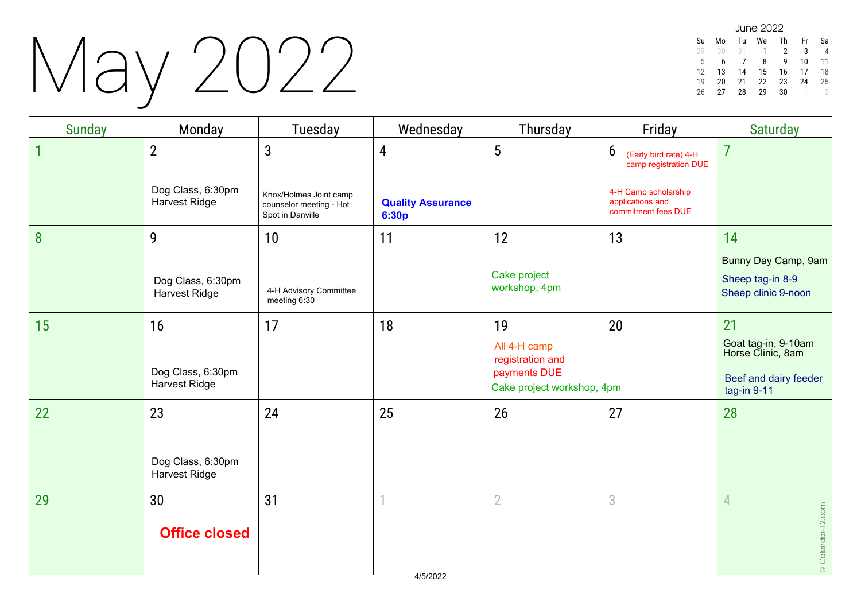### May 2022

| June 2022 |    |    |    |    |    |    |  |  |  |
|-----------|----|----|----|----|----|----|--|--|--|
| Su        | Mo | Tu | We | Τh | Fr | Sa |  |  |  |
| 29        | 30 | 31 |    | 2  | 3  |    |  |  |  |
| 5         | h  |    | 8  | q  | 10 | 11 |  |  |  |
| 12        | 13 | 14 | 15 | 16 | 17 | 18 |  |  |  |
| 19        | 20 | 21 | 22 | 23 | 24 | 25 |  |  |  |
| 26        | 27 | 28 | 29 | 30 |    |    |  |  |  |

| <b>Sunday</b> | Monday                                    | Tuesday                                                               | Wednesday                         | Thursday                                                                             | Friday                                                          | <b>Saturday</b>                                                                        |
|---------------|-------------------------------------------|-----------------------------------------------------------------------|-----------------------------------|--------------------------------------------------------------------------------------|-----------------------------------------------------------------|----------------------------------------------------------------------------------------|
|               | $\overline{2}$                            | $\mathbf{3}$                                                          | 4                                 | 5                                                                                    | 6<br>(Early bird rate) 4-H<br>camp registration DUE             | $\overline{7}$                                                                         |
|               | Dog Class, 6:30pm<br><b>Harvest Ridge</b> | Knox/Holmes Joint camp<br>counselor meeting - Hot<br>Spot in Danville | <b>Quality Assurance</b><br>6:30p |                                                                                      | 4-H Camp scholarship<br>applications and<br>commitment fees DUE |                                                                                        |
| 8             | 9                                         | 10                                                                    | 11                                | 12                                                                                   | 13                                                              | 14                                                                                     |
|               | Dog Class, 6:30pm<br>Harvest Ridge        | 4-H Advisory Committee<br>meeting 6:30                                |                                   | Cake project<br>workshop, 4pm                                                        |                                                                 | Bunny Day Camp, 9am<br>Sheep tag-in 8-9<br>Sheep clinic 9-noon                         |
| 15            | 16<br>Dog Class, 6:30pm<br>Harvest Ridge  | 17                                                                    | 18                                | 19<br>All 4-H camp<br>registration and<br>payments DUE<br>Cake project workshop, 4pm | 20                                                              | 21<br>Goat tag-in, 9-10am<br>Horse Clinic, 8am<br>Beef and dairy feeder<br>tag-in 9-11 |
| 22            | 23                                        | 24                                                                    | 25                                | 26                                                                                   | 27                                                              | 28                                                                                     |
|               | Dog Class, 6:30pm<br><b>Harvest Ridge</b> |                                                                       |                                   |                                                                                      |                                                                 |                                                                                        |
| 29            | 30                                        | 31                                                                    |                                   | $\overline{2}$                                                                       | 3                                                               | $\overline{4}$                                                                         |
|               | <b>Office closed</b>                      |                                                                       |                                   |                                                                                      |                                                                 | © Calendar-12.com                                                                      |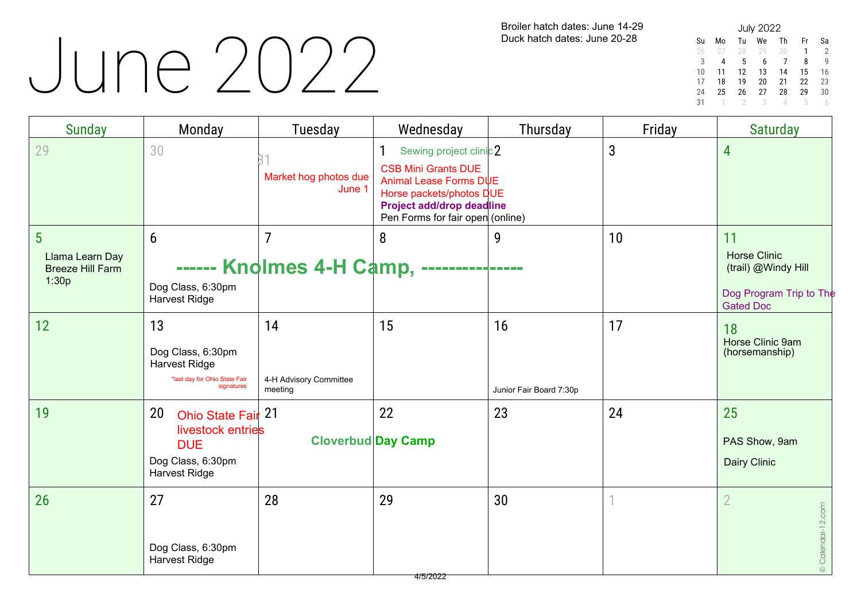### June 2022

Broiler hatch dates: June 14-29 Duck hatch dates: June 20-28

| <b>July 2022</b> |    |    |    |    |    |    |  |  |  |
|------------------|----|----|----|----|----|----|--|--|--|
| Su               | Mo | Tu | We | Th | Fr | Sa |  |  |  |
| 26               | 27 | 28 | 29 | 30 | 1  | 2  |  |  |  |
| 3                | 4  | 5  | 6  | 7  | 8  | g  |  |  |  |
| 10               | 11 | 12 | 13 | 14 | 15 | 16 |  |  |  |
| 17               | 18 | 19 | 20 | 21 | 22 | 23 |  |  |  |
| 24               | 25 | 26 | 27 | 28 | 29 | 30 |  |  |  |
| 31               |    | 2  | 3  |    | h  |    |  |  |  |

| <b>Sunday</b>                                                          | Monday                                                                                                              | <b>Tuesday</b>                          | Wednesday                                                                                                                                                                    | Thursday                      | Friday | <b>Saturday</b>                                                                                 |
|------------------------------------------------------------------------|---------------------------------------------------------------------------------------------------------------------|-----------------------------------------|------------------------------------------------------------------------------------------------------------------------------------------------------------------------------|-------------------------------|--------|-------------------------------------------------------------------------------------------------|
| 29                                                                     | 30                                                                                                                  | Market hog photos due<br>June 1         | Sewing project clinic 2<br><b>CSB Mini Grants DUE</b><br>Animal Lease Forms DUE<br>Horse packets/photos DUE<br>Project add/drop deadline<br>Pen Forms for fair open (online) |                               | 3      | 4                                                                                               |
| $5\phantom{.0}$<br>Llama Learn Day<br><b>Breeze Hill Farm</b><br>1:30p | $6\overline{6}$<br>Dog Class, 6:30pm<br>Harvest Ridge                                                               | 7<br>------ Knolmes 4-H Camp, -         | 8                                                                                                                                                                            | 9                             | 10     | 11<br><b>Horse Clinic</b><br>(trail) @Windy Hill<br>Dog Program Trip to The<br><b>Gated Doc</b> |
| 12                                                                     | 13<br>Dog Class, 6:30pm<br>Harvest Ridge<br>*last day for Ohio State Fair<br>signatures                             | 14<br>4-H Advisory Committee<br>meeting | 15                                                                                                                                                                           | 16<br>Junior Fair Board 7:30p | 17     | 18<br>Horse Clinic 9am<br>(horsemanship)                                                        |
| 19                                                                     | Ohio State Fair <sup>21</sup><br>20<br>livestock entries<br><b>DUE</b><br>Dog Class, 6:30pm<br><b>Harvest Ridge</b> |                                         | 22<br><b>Cloverbud Day Camp</b>                                                                                                                                              | 23                            | 24     | 25<br>PAS Show, 9am<br>Dairy Clinic                                                             |
| 26                                                                     | 27<br>Dog Class, 6:30pm<br><b>Harvest Ridge</b>                                                                     | 28                                      | 29<br>4/5/2022                                                                                                                                                               | 30                            |        | $\overline{2}$<br>© Calendar-12.com                                                             |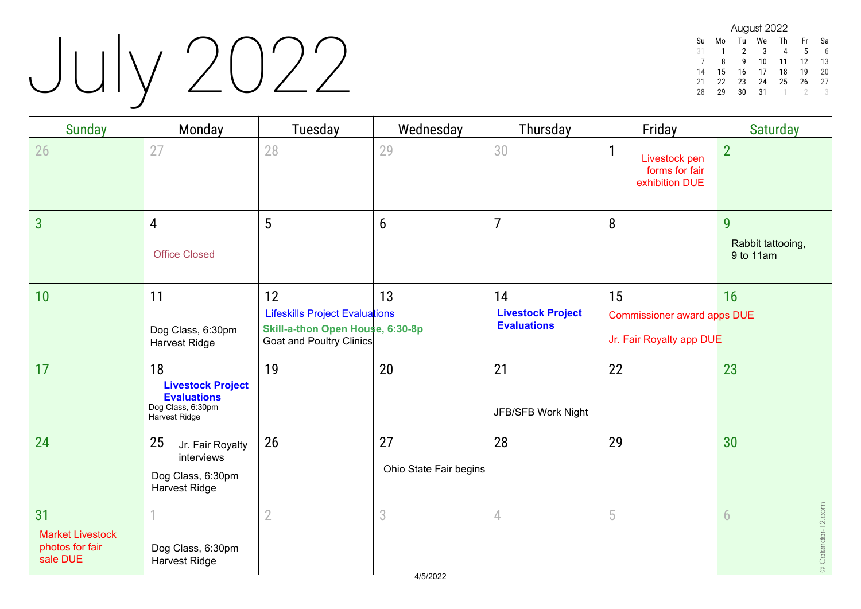# July 2022

| August 2022 |    |    |    |    |    |    |  |  |  |
|-------------|----|----|----|----|----|----|--|--|--|
| Su          | Mo | Tu | We | Th | Fr | Sa |  |  |  |
| 31          | 1  | 2  | 3  | 4  | 5  | 6  |  |  |  |
|             | 8  | q  | 10 | 11 | 12 | 13 |  |  |  |
| 14          | 15 | 16 | 17 | 18 | 19 | 20 |  |  |  |
| 21          | 22 | 23 | 24 | 25 | 26 | 27 |  |  |  |
| 28          | 29 | 30 | 31 |    |    |    |  |  |  |

| <b>Sunday</b>                                                | Monday                                                                                     | Tuesday                                                                                                     | Wednesday                    | Thursday                                             | Friday                                                        | <b>Saturday</b>                     |
|--------------------------------------------------------------|--------------------------------------------------------------------------------------------|-------------------------------------------------------------------------------------------------------------|------------------------------|------------------------------------------------------|---------------------------------------------------------------|-------------------------------------|
| 26                                                           | 27                                                                                         | 28                                                                                                          | 29                           | 30                                                   | 1<br>Livestock pen<br>forms for fair<br>exhibition DUE        | $\overline{2}$                      |
| $\overline{3}$                                               | $\overline{4}$<br><b>Office Closed</b>                                                     | 5                                                                                                           | 6                            | $\overline{7}$                                       | 8                                                             | 9<br>Rabbit tattooing,<br>9 to 11am |
| 10                                                           | 11<br>Dog Class, 6:30pm<br><b>Harvest Ridge</b>                                            | 12<br><b>Lifeskills Project Evaluations</b><br>Skill-a-thon Open House, 6:30-8p<br>Goat and Poultry Clinics | 13                           | 14<br><b>Livestock Project</b><br><b>Evaluations</b> | 15<br>Commissioner award apps DUE<br>Jr. Fair Royalty app DUE | 16                                  |
| 17                                                           | 18<br><b>Livestock Project</b><br><b>Evaluations</b><br>Dog Class, 6:30pm<br>Harvest Ridge | 19                                                                                                          | 20                           | 21<br>JFB/SFB Work Night                             | 22                                                            | 23                                  |
| 24                                                           | 25<br>Jr. Fair Royalty<br>interviews<br>Dog Class, 6:30pm<br>Harvest Ridge                 | 26                                                                                                          | 27<br>Ohio State Fair begins | 28                                                   | 29                                                            | 30                                  |
| 31<br><b>Market Livestock</b><br>photos for fair<br>sale DUE | Dog Class, 6:30pm<br>Harvest Ridge                                                         | $\overline{2}$                                                                                              | 3                            | 4                                                    | 5                                                             | © Calendar-12.com<br>6              |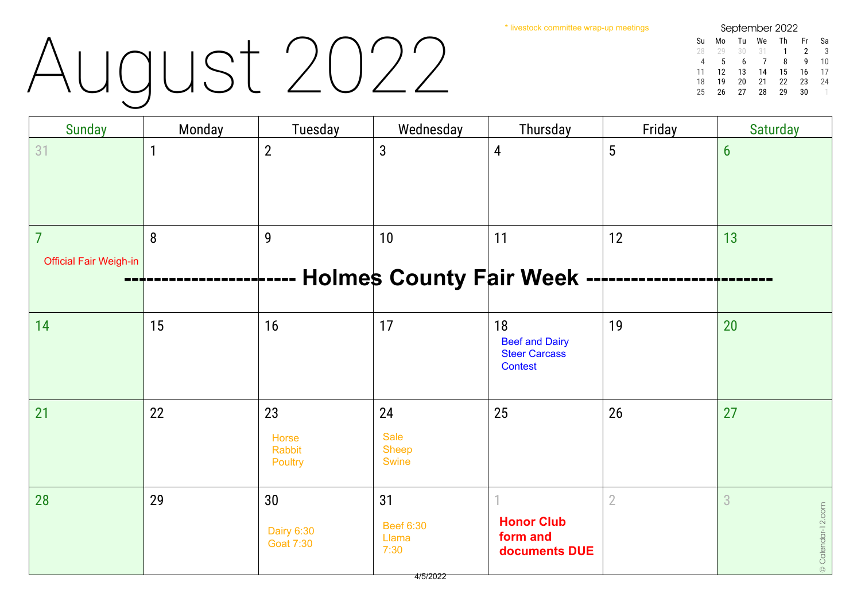\* livestock committee wrap-up meetings

# August 2022

| September 2022 |    |    |    |    |    |    |  |  |  |
|----------------|----|----|----|----|----|----|--|--|--|
| Su             | M٥ | Tu | We | Th | Fr | Sa |  |  |  |
| 28             | 20 | 30 | 31 | 1  | 2  | 3  |  |  |  |
| Δ              | 5  | 6  |    | 8  | q  | 10 |  |  |  |
| 11             | 12 | 13 | 14 | 15 | 16 | 17 |  |  |  |
| 18             | 19 | 20 | 21 | 22 | 23 | 24 |  |  |  |
| 25             | 26 | 27 | 28 | 29 | 30 |    |  |  |  |

| <b>Sunday</b>                 | Monday      | Tuesday                           | Wednesday                         | Thursday                                                       | Friday         | <b>Saturday</b>   |
|-------------------------------|-------------|-----------------------------------|-----------------------------------|----------------------------------------------------------------|----------------|-------------------|
| 31                            | $\mathbf 1$ | $\overline{2}$                    | $\mathbf{3}$                      | 4                                                              | $\overline{5}$ | $6\phantom{1}$    |
| 7                             | 8           | 9                                 | 10                                | 11                                                             | 12             | 13                |
| <b>Official Fair Weigh-in</b> |             |                                   |                                   |                                                                |                |                   |
|                               |             |                                   | <b>Holmes County Fair Week -</b>  |                                                                |                |                   |
|                               |             |                                   |                                   |                                                                |                |                   |
| 14                            | 15          | 16                                | 17                                | 18<br><b>Beef and Dairy</b><br><b>Steer Carcass</b><br>Contest | 19             | 20                |
| 21                            | 22          | 23                                | 24                                | 25                                                             | 26             | 27                |
|                               |             | Horse<br><b>Rabbit</b><br>Poultry | Sale<br>Sheep<br><b>Swine</b>     |                                                                |                |                   |
| 28                            | 29          | 30                                | 31                                |                                                                | $\overline{2}$ | $\overline{3}$    |
|                               |             | Dairy 6:30<br><b>Goat 7:30</b>    | <b>Beef 6:30</b><br>Llama<br>7:30 | <b>Honor Club</b><br>form and<br>documents DUE                 |                | © Calendar-12.com |
|                               |             |                                   | 4/5/2022                          |                                                                |                |                   |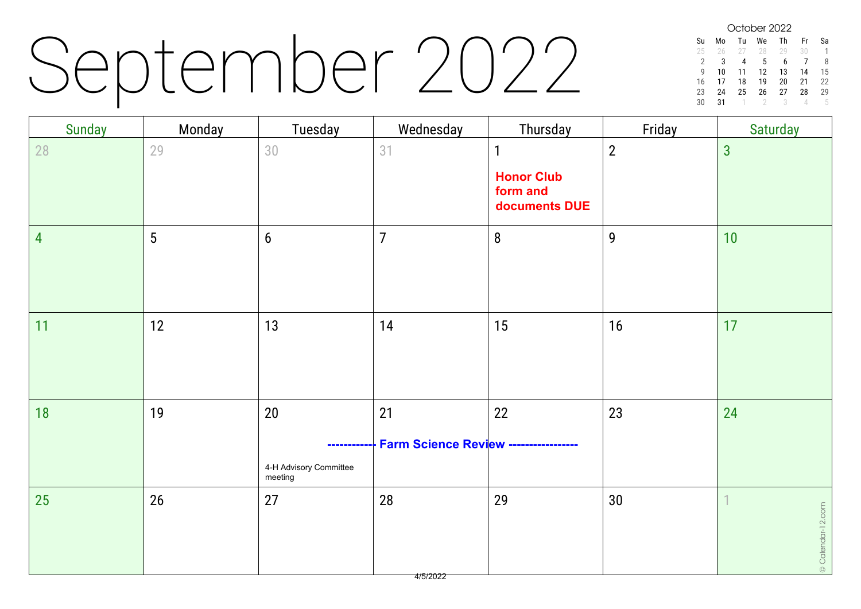### September 2022

October 2022 Su Mo Tu We Th Fr Sa 25 26 27 28 29 30 1 2 3 4 5 6 7 8<br>9 10 11 12 13 14 15 9 10 11 12 13 14 15 16 17 18 19 20 21 22 23 24 25 26 27 28 29<br>30 31 1 2 3 4 5 30 31 1 2 3 4 5

| <b>Sunday</b>  | Monday          | Tuesday                           | Wednesday                                    | Thursday                                      | Friday         | <b>Saturday</b>                  |
|----------------|-----------------|-----------------------------------|----------------------------------------------|-----------------------------------------------|----------------|----------------------------------|
| 28             | 29              | 30                                | 31                                           | $\mathbf{1}$<br><b>Honor Club</b><br>form and | $\overline{2}$ | $\overline{3}$                   |
|                |                 |                                   |                                              | documents DUE                                 |                |                                  |
| $\overline{4}$ | $5\phantom{.0}$ | $6\phantom{1}$                    | $\overline{7}$                               | $8\,$                                         | $\mathbf{9}$   | 10                               |
| 11             | 12              | 13                                | 14                                           | 15                                            | 16             | 17                               |
| 18             | 19              | $20\,$                            | 21                                           | 22                                            | 23             | 24                               |
|                |                 | -----------                       | <b>Farm Science Review -----------------</b> |                                               |                |                                  |
|                |                 | 4-H Advisory Committee<br>meeting |                                              |                                               |                |                                  |
| 25             | 26              | 27                                | 28<br>4/5/2022                               | 29                                            | 30             | $\mathbf 1$<br>© Calendar-12.com |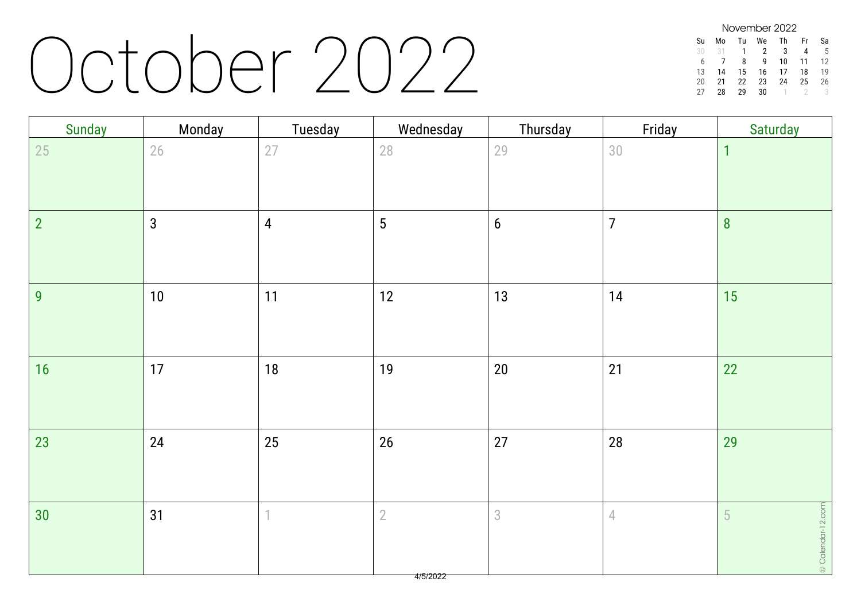#### October 2022

| November 2022 |    |    |    |    |    |    |  |  |  |
|---------------|----|----|----|----|----|----|--|--|--|
| Su            | Mo | Tu | We | Th | Fr | Sа |  |  |  |
| 30            | 31 | 1  | 2  | 3  | 4  | 5  |  |  |  |
| 6             |    | 8  | q  | 10 | 11 | 12 |  |  |  |
| 13            | 14 | 15 | 16 | 17 | 18 | 19 |  |  |  |
| 20            | 21 | 22 | 23 | 24 | 25 | 26 |  |  |  |
| 27            | 28 | 29 | 30 |    |    |    |  |  |  |

| Sunday         | Monday         | Tuesday        | Wednesday       | Thursday         | Friday         | Saturday          |
|----------------|----------------|----------------|-----------------|------------------|----------------|-------------------|
| 25             | 26             | 27             | 28              | 29               | 30             | $\overline{1}$    |
|                |                |                |                 |                  |                |                   |
| $\overline{2}$ | $\mathfrak{3}$ | $\overline{4}$ | $5\phantom{.0}$ | $\boldsymbol{6}$ | $\overline{7}$ | $\boldsymbol{8}$  |
|                |                |                |                 |                  |                |                   |
| 9              | 10             | 11             | 12              | 13               | 14             | 15                |
|                |                |                |                 |                  |                |                   |
| 16             | 17             | 18             | 19              | $20\,$           | 21             | 22                |
|                |                |                |                 |                  |                |                   |
| 23             | 24             | 25             | 26              | 27               | 28             | 29                |
|                |                |                |                 |                  |                |                   |
| 30             | 31             | 1              | $\overline{2}$  | $\sqrt{3}$       | $\sqrt{ }$     | 5                 |
|                |                |                |                 |                  |                | © Calendar-12.com |
|                |                |                |                 |                  |                |                   |

4/5/2022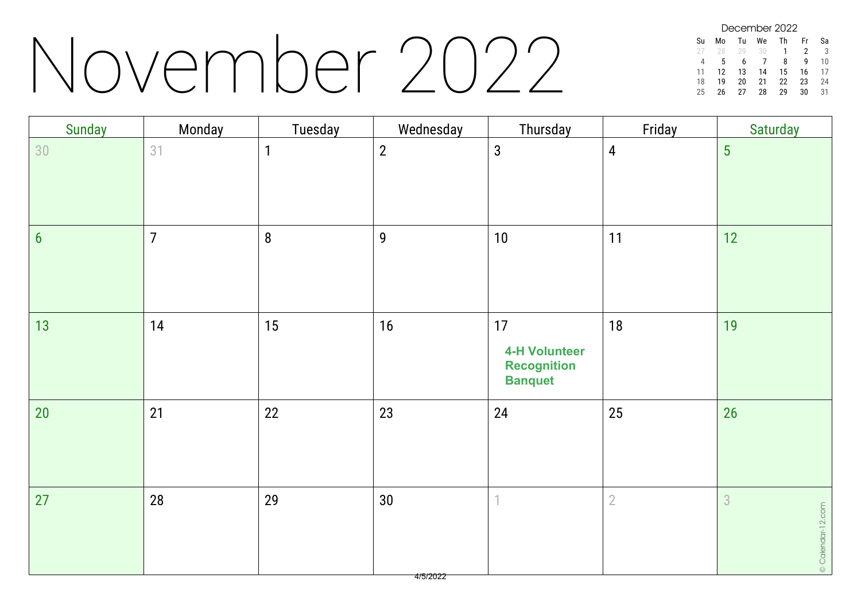#### November 2022

December 2022 Su Mo Tu We Th Fr Sa 28 29 30 1 2 3 4 5 6 7 8 9 10 11 12 13 14 15 16 17 18 19 20 21 22 23 24 25 26 27 28 29 30 31

| Sunday           | Monday         | Tuesday      | Wednesday                                 | Thursday                                                           | Friday         | Saturday               |
|------------------|----------------|--------------|-------------------------------------------|--------------------------------------------------------------------|----------------|------------------------|
| 30               | 31             | $\mathbf{1}$ | $\boldsymbol{2}$                          | $\mathbf{3}$                                                       | $\overline{4}$ | $5\phantom{.0}$        |
| $\boldsymbol{6}$ | $\overline{7}$ | $\bf 8$      | $\mathbf 9$                               | 10                                                                 | 11             | 12                     |
| 13               | 14             | 15           | 16                                        | 17<br><b>4-H Volunteer</b><br><b>Recognition</b><br><b>Banquet</b> | 18             | 19                     |
| 20               | 21             | 22           | 23                                        | 24                                                                 | 25             | 26                     |
| 27               | 28             | 29           | $30\,$<br>$\overline{AB}$ $\overline{BA}$ | 1                                                                  | $\overline{2}$ | 3<br>© Calendar-12.com |

4/5/2022